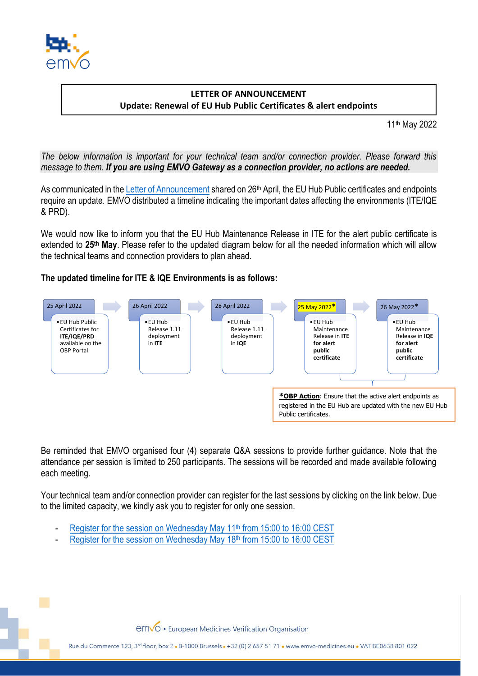

## **LETTER OF ANNOUNCEMENT Update: Renewal of EU Hub Public Certificates & alert endpoints**

11th May 2022

*The below information is important for your technical team and/or connection provider. Please forward this message to them. If you are using EMVO Gateway as a connection provider, no actions are needed.*

As communicated in the [Letter of Announcement](https://emvo-medicines.eu/new/wp-content/uploads/EMVO_LoA_0226_20220426_Renewal_EU_Hub_Certificates_planned_dates.pdf) shared on 26<sup>th</sup> April, the EU Hub Public certificates and endpoints require an update. EMVO distributed a timeline indicating the important dates affecting the environments (ITE/IQE & PRD).

We would now like to inform you that the EU Hub Maintenance Release in ITE for the alert public certificate is extended to **25th May**. Please refer to the updated diagram below for all the needed information which will allow the technical teams and connection providers to plan ahead.

## **The updated timeline for ITE & IQE Environments is as follows:**



Be reminded that EMVO organised four (4) separate Q&A sessions to provide further guidance. Note that the attendance per session is limited to 250 participants. The sessions will be recorded and made available following each meeting.

Your technical team and/or connection provider can register for the last sessions by clicking on the link below. Due to the limited capacity, we kindly ask you to register for only one session.

- [Register for the session on Wednesday May 11](https://www.eventbrite.com/e/eu-hub-certificate-renewal-qa-session-4-tickets-313651398777)<sup>th</sup> from 15:00 to 16:00 CEST
- [Register for the session on Wednesday May 18](https://www.eventbrite.com/e/eu-hub-certificate-renewal-qa-session-5-tickets-313654427837)<sup>th</sup> from 15:00 to 16:00 CEST

emvo · European Medicines Verification Organisation